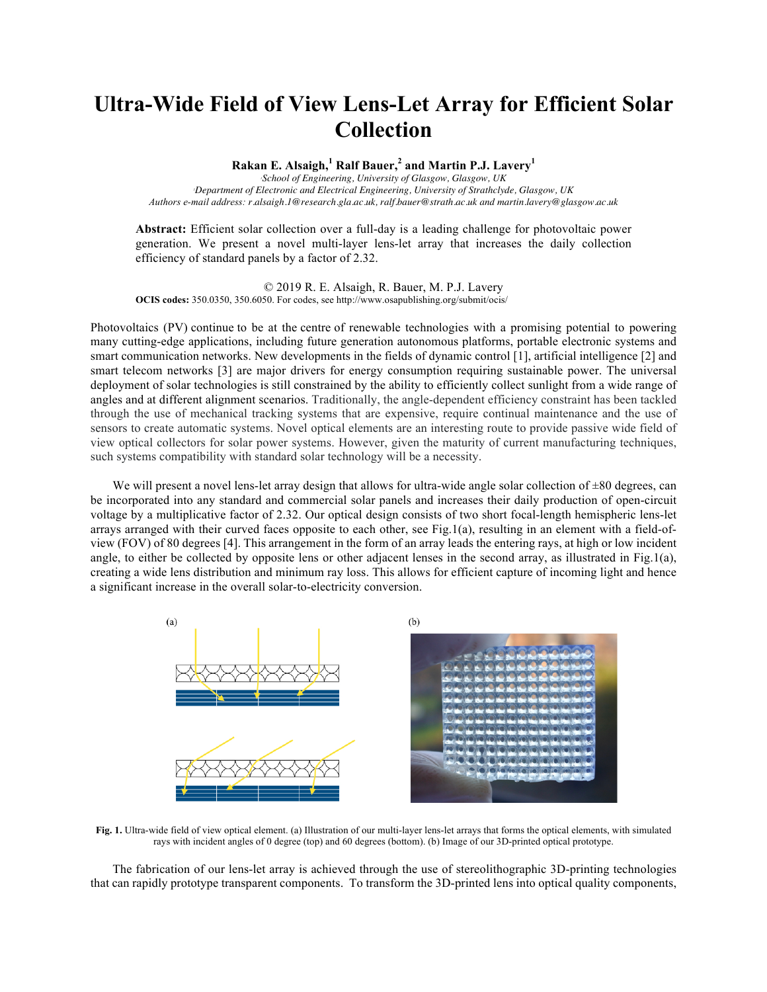## **Ultra-Wide Field of View Lens-Let Array for Efficient Solar Collection**

**Rakan E. Alsaigh,<sup>1</sup> Ralf Bauer,<sup>2</sup> and Martin P.J. Lavery<sup>1</sup>**

*1 School of Engineering, University of Glasgow, Glasgow, UK 2 Department of Electronic and Electrical Engineering, University of Strathclyde, Glasgow, UK Authors e-mail address: r.alsaigh.1@research.gla.ac.uk, ralf.bauer@strath.ac.uk and martin.lavery@glasgow.ac.uk*

**Abstract:** Efficient solar collection over a full-day is a leading challenge for photovoltaic power generation. We present a novel multi-layer lens-let array that increases the daily collection efficiency of standard panels by a factor of 2.32.

© 2019 R. E. Alsaigh, R. Bauer, M. P.J. Lavery **OCIS codes:** 350.0350, 350.6050. For codes, see http://www.osapublishing.org/submit/ocis/

Photovoltaics (PV) continue to be at the centre of renewable technologies with a promising potential to powering many cutting-edge applications, including future generation autonomous platforms, portable electronic systems and smart communication networks. New developments in the fields of dynamic control [1], artificial intelligence [2] and smart telecom networks [3] are major drivers for energy consumption requiring sustainable power. The universal deployment of solar technologies is still constrained by the ability to efficiently collect sunlight from a wide range of angles and at different alignment scenarios. Traditionally, the angle-dependent efficiency constraint has been tackled through the use of mechanical tracking systems that are expensive, require continual maintenance and the use of sensors to create automatic systems. Novel optical elements are an interesting route to provide passive wide field of view optical collectors for solar power systems. However, given the maturity of current manufacturing techniques, such systems compatibility with standard solar technology will be a necessity.

We will present a novel lens-let array design that allows for ultra-wide angle solar collection of  $\pm 80$  degrees, can be incorporated into any standard and commercial solar panels and increases their daily production of open-circuit voltage by a multiplicative factor of 2.32. Our optical design consists of two short focal-length hemispheric lens-let arrays arranged with their curved faces opposite to each other, see Fig.1(a), resulting in an element with a field-ofview (FOV) of 80 degrees [4]. This arrangement in the form of an array leads the entering rays, at high or low incident angle, to either be collected by opposite lens or other adjacent lenses in the second array, as illustrated in Fig.1(a), creating a wide lens distribution and minimum ray loss. This allows for efficient capture of incoming light and hence a significant increase in the overall solar-to-electricity conversion.



**Fig. 1.** Ultra-wide field of view optical element. (a) Illustration of our multi-layer lens-let arrays that forms the optical elements, with simulated rays with incident angles of 0 degree (top) and 60 degrees (bottom). (b) Image of our 3D-printed optical prototype.

The fabrication of our lens-let array is achieved through the use of stereolithographic 3D-printing technologies that can rapidly prototype transparent components. To transform the 3D-printed lens into optical quality components,